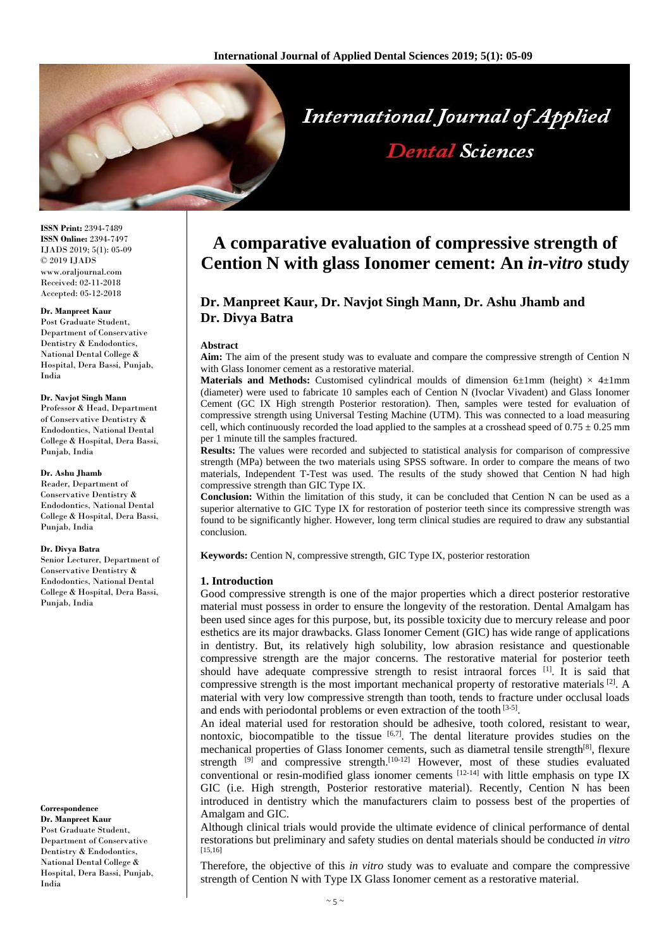

**ISSN Print:** 2394-7489 **ISSN Online:** 2394-7497 IJADS 2019; 5(1): 05-09 © 2019 IJADS www.oraljournal.com Received: 02-11-2018 Accepted: 05-12-2018

#### **Dr. Manpreet Kaur**

Post Graduate Student, Department of Conservative Dentistry & Endodontics, National Dental College & Hospital, Dera Bassi, Punjab, India

#### **Dr. Navjot Singh Mann**

Professor & Head, Department of Conservative Dentistry & Endodontics, National Dental College & Hospital, Dera Bassi, Punjab, India

#### **Dr. Ashu Jhamb**

Reader, Department of Conservative Dentistry & Endodontics, National Dental College & Hospital, Dera Bassi, Punjab, India

#### **Dr. Divya Batra**

Senior Lecturer, Department of Conservative Dentistry & Endodontics, National Dental College & Hospital, Dera Bassi, Punjab, India

#### **Correspondence**

**Dr. Manpreet Kaur** Post Graduate Student, Department of Conservative Dentistry & Endodontics, National Dental College & Hospital, Dera Bassi, Punjab, India

# **A comparative evaluation of compressive strength of Cention N with glass Ionomer cement: An** *in-vitro* **study**

# **Dr. Manpreet Kaur, Dr. Navjot Singh Mann, Dr. Ashu Jhamb and Dr. Divya Batra**

#### **Abstract**

**Aim:** The aim of the present study was to evaluate and compare the compressive strength of Cention N with Glass Ionomer cement as a restorative material.

**Materials and Methods:** Customised cylindrical moulds of dimension  $6\pm1$ mm (height)  $\times$  4 $\pm1$ mm (diameter) were used to fabricate 10 samples each of Cention N (Ivoclar Vivadent) and Glass Ionomer Cement (GC IX High strength Posterior restoration). Then, samples were tested for evaluation of compressive strength using Universal Testing Machine (UTM). This was connected to a load measuring cell, which continuously recorded the load applied to the samples at a crosshead speed of  $0.75 \pm 0.25$  mm per 1 minute till the samples fractured.

**Results:** The values were recorded and subjected to statistical analysis for comparison of compressive strength (MPa) between the two materials using SPSS software. In order to compare the means of two materials, Independent T-Test was used. The results of the study showed that Cention N had high compressive strength than GIC Type IX.

**Conclusion:** Within the limitation of this study, it can be concluded that Cention N can be used as a superior alternative to GIC Type IX for restoration of posterior teeth since its compressive strength was found to be significantly higher. However, long term clinical studies are required to draw any substantial conclusion.

**Keywords:** Cention N, compressive strength, GIC Type IX, posterior restoration

## **1. Introduction**

Good compressive strength is one of the major properties which a direct posterior restorative material must possess in order to ensure the longevity of the restoration. Dental Amalgam has been used since ages for this purpose, but, its possible toxicity due to mercury release and poor esthetics are its major drawbacks. Glass Ionomer Cement (GIC) has wide range of applications in dentistry. But, its relatively high solubility, low abrasion resistance and questionable compressive strength are the major concerns. The restorative material for posterior teeth should have adequate compressive strength to resist intraoral forces [1]. It is said that compressive strength is the most important mechanical property of restorative materials <sup>[2]</sup>. A material with very low compressive strength than tooth, tends to fracture under occlusal loads and ends with periodontal problems or even extraction of the tooth [3-5].

An ideal material used for restoration should be adhesive, tooth colored, resistant to wear, nontoxic, biocompatible to the tissue  $[6,7]$ . The dental literature provides studies on the mechanical properties of Glass Ionomer cements, such as diametral tensile strength<sup>[8]</sup>, flexure strength <sup>[9]</sup> and compressive strength.<sup>[10-12]</sup> However, most of these studies evaluated conventional or resin-modified glass ionomer cements  $[12-14]$  with little emphasis on type IX GIC (i.e. High strength, Posterior restorative material). Recently, Cention N has been introduced in dentistry which the manufacturers claim to possess best of the properties of Amalgam and GIC.

Although clinical trials would provide the ultimate evidence of clinical performance of dental restorations but preliminary and safety studies on dental materials should be conducted *in vitro* [15,16]

Therefore, the objective of this *in vitro* study was to evaluate and compare the compressive strength of Cention N with Type IX Glass Ionomer cement as a restorative material.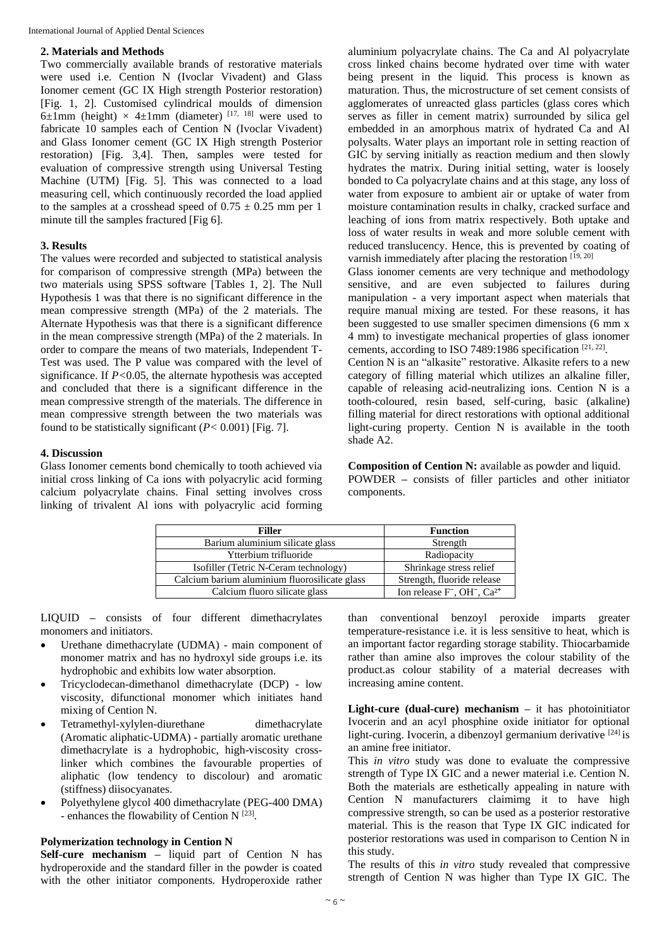### **2. Materials and Methods**

Two commercially available brands of restorative materials were used i.e. Cention N (Ivoclar Vivadent) and Glass Ionomer cement (GC IX High strength Posterior restoration) [Fig. 1, 2]. Customised cylindrical moulds of dimension 6±1mm (height)  $\times$  4±1mm (diameter) [17, 18] were used to fabricate 10 samples each of Cention N (Ivoclar Vivadent) and Glass Ionomer cement (GC IX High strength Posterior restoration) [Fig. 3,4]. Then, samples were tested for evaluation of compressive strength using Universal Testing Machine (UTM) [Fig. 5]. This was connected to a load measuring cell, which continuously recorded the load applied to the samples at a crosshead speed of  $0.75 \pm 0.25$  mm per 1 minute till the samples fractured [Fig 6].

## **3. Results**

The values were recorded and subjected to statistical analysis for comparison of compressive strength (MPa) between the two materials using SPSS software [Tables 1, 2]. The Null Hypothesis 1 was that there is no significant difference in the mean compressive strength (MPa) of the 2 materials. The Alternate Hypothesis was that there is a significant difference in the mean compressive strength (MPa) of the 2 materials. In order to compare the means of two materials, Independent T-Test was used. The P value was compared with the level of significance. If *P<*0.05, the alternate hypothesis was accepted and concluded that there is a significant difference in the mean compressive strength of the materials. The difference in mean compressive strength between the two materials was found to be statistically significant  $(P < 0.001)$  [Fig. 7].

# **4. Discussion**

Glass Ionomer cements bond chemically to tooth achieved via initial cross linking of Ca ions with polyacrylic acid forming calcium polyacrylate chains. Final setting involves cross linking of trivalent Al ions with polyacrylic acid forming aluminium polyacrylate chains. The Ca and Al polyacrylate cross linked chains become hydrated over time with water being present in the liquid. This process is known as maturation. Thus, the microstructure of set cement consists of agglomerates of unreacted glass particles (glass cores which serves as filler in cement matrix) surrounded by silica gel embedded in an amorphous matrix of hydrated Ca and Al polysalts. Water plays an important role in setting reaction of GIC by serving initially as reaction medium and then slowly hydrates the matrix. During initial setting, water is loosely bonded to Ca polyacrylate chains and at this stage, any loss of water from exposure to ambient air or uptake of water from moisture contamination results in chalky, cracked surface and leaching of ions from matrix respectively. Both uptake and loss of water results in weak and more soluble cement with reduced translucency. Hence, this is prevented by coating of varnish immediately after placing the restoration  $[19, 20]$ 

Glass ionomer cements are very technique and methodology sensitive, and are even subjected to failures during manipulation - a very important aspect when materials that require manual mixing are tested. For these reasons, it has been suggested to use smaller specimen dimensions (6 mm x 4 mm) to investigate mechanical properties of glass ionomer cements, according to ISO 7489:1986 specification [21, 22].

Cention N is an "alkasite" restorative. Alkasite refers to a new category of filling material which utilizes an alkaline filler, capable of releasing acid-neutralizing ions. Cention N is a tooth-coloured, resin based, self-curing, basic (alkaline) filling material for direct restorations with optional additional light-curing property. Cention N is available in the tooth shade A2.

**Composition of Cention N:** available as powder and liquid.

POWDER **–** consists of filler particles and other initiator components.

| <b>Filler</b>                                 | <b>Function</b>                                                 |  |  |
|-----------------------------------------------|-----------------------------------------------------------------|--|--|
| Barium aluminium silicate glass               | Strength                                                        |  |  |
| Ytterbium trifluoride                         | Radiopacity                                                     |  |  |
| Isofiller (Tetric N-Ceram technology)         | Shrinkage stress relief                                         |  |  |
| Calcium barium aluminium fluorosilicate glass | Strength, fluoride release                                      |  |  |
| Calcium fluoro silicate glass                 | Ion release $F^{\text{-}}$ , OH <sup>-</sup> , Ca <sup>2+</sup> |  |  |

LIQUID **–** consists of four different dimethacrylates monomers and initiators.

- Urethane dimethacrylate (UDMA) main component of monomer matrix and has no hydroxyl side groups i.e. its hydrophobic and exhibits low water absorption.
- Tricyclodecan-dimethanol dimethacrylate (DCP) low viscosity, difunctional monomer which initiates hand mixing of Cention N.
- Tetramethyl-xylylen-diurethane dimethacrylate (Aromatic aliphatic-UDMA) - partially aromatic urethane dimethacrylate is a hydrophobic, high-viscosity crosslinker which combines the favourable properties of aliphatic (low tendency to discolour) and aromatic (stiffness) diisocyanates.
- Polyethylene glycol 400 dimethacrylate (PEG-400 DMA) - enhances the flowability of Cention N<sup>[23]</sup>.

# **Polymerization technology in Cention N**

**Self-cure mechanism –** liquid part of Cention N has hydroperoxide and the standard filler in the powder is coated with the other initiator components. Hydroperoxide rather

than conventional benzoyl peroxide imparts greater temperature-resistance i.e. it is less sensitive to heat, which is an important factor regarding storage stability. Thiocarbamide rather than amine also improves the colour stability of the product.as colour stability of a material decreases with increasing amine content.

**Light-cure (dual-cure) mechanism –** it has photoinitiator Ivocerin and an acyl phosphine oxide initiator for optional light-curing. Ivocerin, a dibenzoyl germanium derivative <sup>[24]</sup> is an amine free initiator.

This *in vitro* study was done to evaluate the compressive strength of Type IX GIC and a newer material i.e. Cention N. Both the materials are esthetically appealing in nature with Cention N manufacturers claimimg it to have high compressive strength, so can be used as a posterior restorative material. This is the reason that Type IX GIC indicated for posterior restorations was used in comparison to Cention N in this study.

The results of this *in vitro* study revealed that compressive strength of Cention N was higher than Type IX GIC. The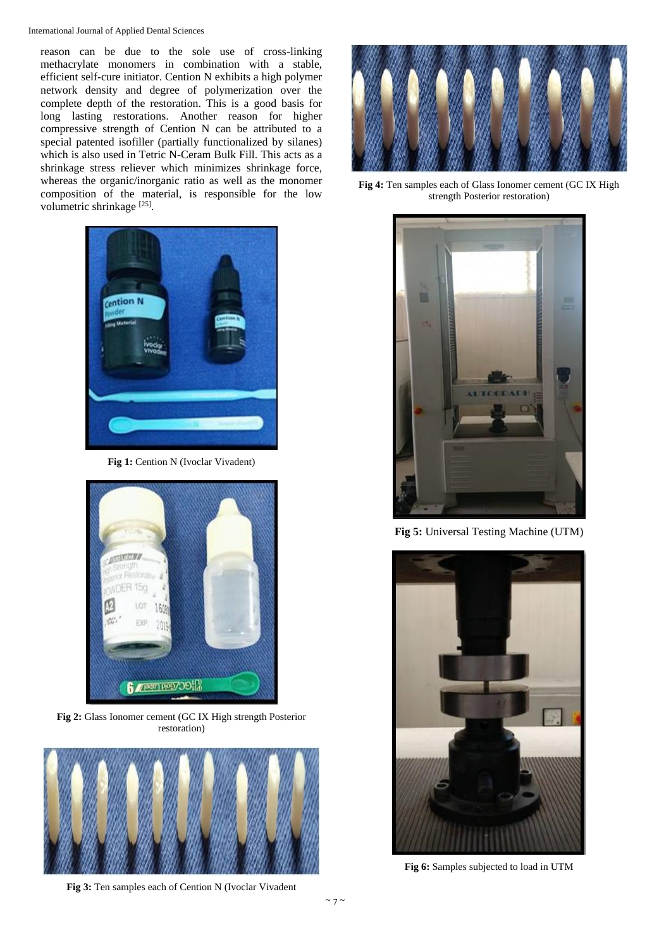reason can be due to the sole use of cross-linking methacrylate monomers in combination with a stable, efficient self-cure initiator. Cention N exhibits a high polymer network density and degree of polymerization over the complete depth of the restoration. This is a good basis for long lasting restorations. Another reason for higher compressive strength of Cention N can be attributed to a special patented isofiller (partially functionalized by silanes) which is also used in Tetric N-Ceram Bulk Fill. This acts as a shrinkage stress reliever which minimizes shrinkage force, whereas the organic/inorganic ratio as well as the monomer composition of the material, is responsible for the low volumetric shrinkage<sup>[25]</sup>.



**Fig 1:** Cention N (Ivoclar Vivadent)



**Fig 2:** Glass Ionomer cement (GC IX High strength Posterior restoration)



**Fig 3:** Ten samples each of Cention N (Ivoclar Vivadent



**Fig 4:** Ten samples each of Glass Ionomer cement (GC IX High strength Posterior restoration)



**Fig 5:** Universal Testing Machine (UTM)



**Fig 6:** Samples subjected to load in UTM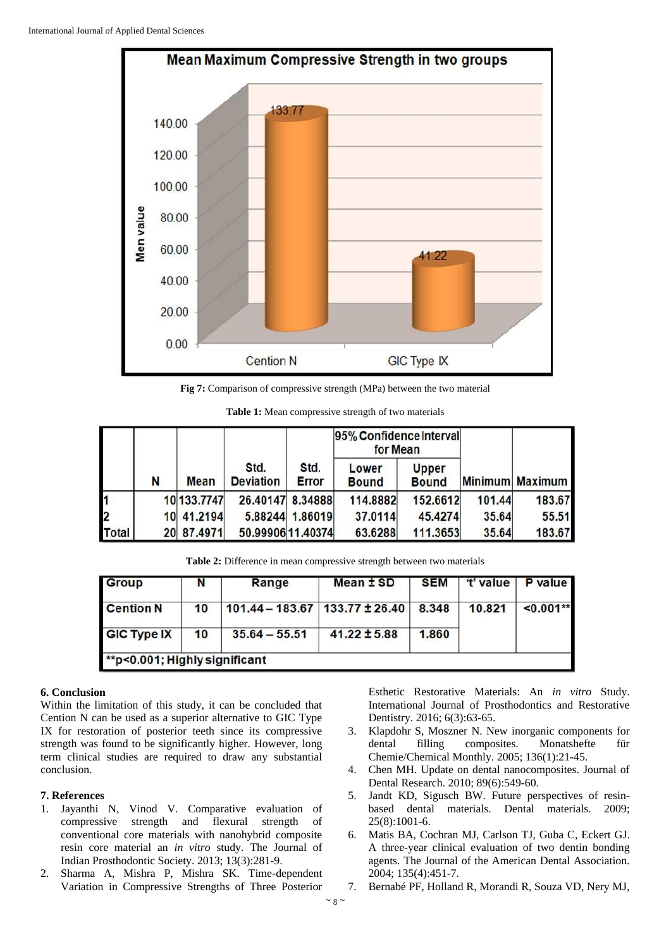

**Fig 7:** Comparison of compressive strength (MPa) between the two material

**Table 1:** Mean compressive strength of two materials

|               |   |             |                          |                      | 95% Confidence Interval<br>for Mean |                              |        |                 |
|---------------|---|-------------|--------------------------|----------------------|-------------------------------------|------------------------------|--------|-----------------|
|               | N | <b>Mean</b> | Std.<br><b>Deviation</b> | Std.<br><b>Error</b> | Lower<br><b>Bound</b>               | <b>Upper</b><br><b>Bound</b> |        | Minimum Maximum |
| $\frac{1}{2}$ |   | 10 133.7747 | 26.40147 8.34888         |                      | 114.8882                            | 152.6612                     | 101.44 | 183.67          |
|               |   | 10 41.2194  |                          | 5.88244 1.86019      | 37.0114                             | 45.4274                      | 35.64  | 55.51           |
| <b>Total</b>  |   | 20 87.4971  | 50.99906 11.40374        |                      | 63.6288                             | 111.3653                     | 35.64  | 183.67          |

**Table 2:** Difference in mean compressive strength between two materials

| <b>Group</b>                  | N               | Range                          | Mean ± SD        | <b>SEM</b> | "t' value | <b>P</b> value |  |  |  |
|-------------------------------|-----------------|--------------------------------|------------------|------------|-----------|----------------|--|--|--|
| <b>Cention N</b>              | 10              | 101.44 - 183.67 133.77 ± 26.40 |                  | 8.348      | 10.821    | $< 0.001**$    |  |  |  |
| <b>GIC Type IX</b>            | 10 <sup>°</sup> | $35.64 - 55.51$                | $41.22 \pm 5.88$ | 1.860      |           |                |  |  |  |
| **p<0.001; Highly significant |                 |                                |                  |            |           |                |  |  |  |

# **6. Conclusion**

Within the limitation of this study, it can be concluded that Cention N can be used as a superior alternative to GIC Type IX for restoration of posterior teeth since its compressive strength was found to be significantly higher. However, long term clinical studies are required to draw any substantial conclusion.

# **7. References**

- 1. Jayanthi N, Vinod V. Comparative evaluation of compressive strength and flexural strength of conventional core materials with nanohybrid composite resin core material an *in vitro* study. The Journal of Indian Prosthodontic Society. 2013; 13(3):281-9.
- 2. Sharma A, Mishra P, Mishra SK. Time-dependent Variation in Compressive Strengths of Three Posterior

Esthetic Restorative Materials: An *in vitro* Study. International Journal of Prosthodontics and Restorative Dentistry. 2016; 6(3):63-65.

- 3. Klapdohr S, Moszner N. New inorganic components for dental filling composites. Monatshefte für Chemie/Chemical Monthly. 2005; 136(1):21-45.
- 4. Chen MH. Update on dental nanocomposites. Journal of Dental Research. 2010; 89(6):549-60.
- 5. Jandt KD, Sigusch BW. Future perspectives of resinbased dental materials. Dental materials. 2009; 25(8):1001-6.
- 6. Matis BA, Cochran MJ, Carlson TJ, Guba C, Eckert GJ. A three-year clinical evaluation of two dentin bonding agents. The Journal of the American Dental Association. 2004; 135(4):451-7.
- 7. Bernabé PF, Holland R, Morandi R, Souza VD, Nery MJ,